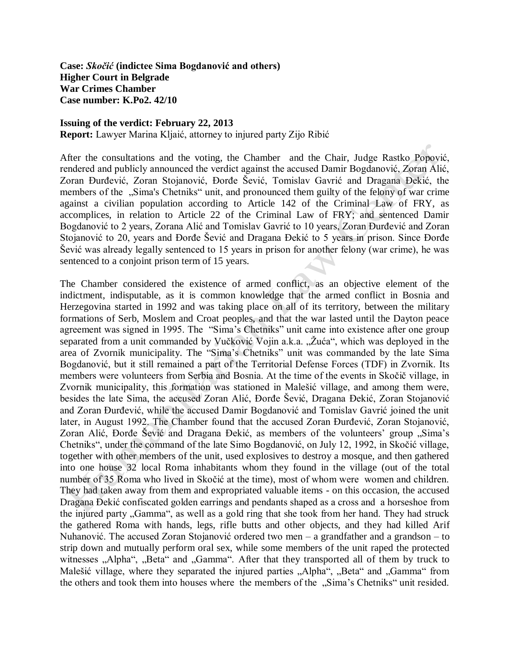**Case:** *Skočić* **(indictee Sima Bogdanović and others) Higher Court in Belgrade War Crimes Chamber Case number: K.Po2. 42/10** 

## **Issuing of the verdict: February 22, 2013**

**Report:** Lawyer Marina Kljaić, attorney to injured party Zijo Ribić

After the consultations and the voting, the Chamber and the Chair, Judge Rastko Popović, rendered and publicly announced the verdict against the accused Damir Bogdanović, Zoran Alić, Zoran Đurđević, Zoran Stojanović, Đorđe Šević, Tomislav Gavrić and Dragana Đekić, the members of the "Sima's Chetniks" unit, and pronounced them guilty of the felony of war crime against a civilian population according to Article 142 of the Criminal Law of FRY, as accomplices, in relation to Article 22 of the Criminal Law of FRY; and sentenced Damir Bogdanović to 2 years, Zorana Alić and Tomislav Gavrić to 10 years, Zoran Đurđević and Zoran Stojanović to 20, years and Đorđe Šević and Dragana Đekić to 5 years in prison. Since Đorđe Šević was already legally sentenced to 15 years in prison for another felony (war crime), he was sentenced to a conjoint prison term of 15 years.

The Chamber considered the existence of armed conflict, as an objective element of the indictment, indisputable, as it is common knowledge that the armed conflict in Bosnia and Herzegovina started in 1992 and was taking place on all of its territory, between the military formations of Serb, Moslem and Croat peoples, and that the war lasted until the Dayton peace agreement was signed in 1995. The "Sima's Chetniks" unit came into existence after one group separated from a unit commanded by Vučković Vojin a.k.a. "Žuća", which was deployed in the area of Zvornik municipality. The "Sima's Chetniks" unit was commanded by the late Sima Bogdanović, but it still remained a part of the Territorial Defense Forces (TDF) in Zvornik. Its members were volunteers from Serbia and Bosnia. At the time of the events in Skočič village, in Zvornik municipality, this formation was stationed in Malešić village, and among them were, besides the late Sima, the accused Zoran Alić, Đorđe Šević, Dragana Đekić, Zoran Stojanović and Zoran Đurđević, while the accused Damir Bogdanović and Tomislav Gavrić joined the unit later, in August 1992. The Chamber found that the accused Zoran Đurđević, Zoran Stojanović, Zoran Alić, Đorđe Šević and Dragana Đekić, as members of the volunteers' group "Sima's Chetniks", under the command of the late Simo Bogdanović, on July 12, 1992, in Skočić village, together with other members of the unit, used explosives to destroy a mosque, and then gathered into one house 32 local Roma inhabitants whom they found in the village (out of the total number of 35 Roma who lived in Skočić at the time), most of whom were women and children. They had taken away from them and expropriated valuable items - on this occasion, the accused Dragana Đekić confiscated golden earrings and pendants shaped as a cross and a horseshoe from the injured party "Gamma", as well as a gold ring that she took from her hand. They had struck the gathered Roma with hands, legs, rifle butts and other objects, and they had killed Arif Nuhanović. The accused Zoran Stojanović ordered two men – a grandfather and a grandson – to strip down and mutually perform oral sex, while some members of the unit raped the protected witnesses "Alpha", "Beta" and "Gamma". After that they transported all of them by truck to Malešić village, where they separated the injured parties "Alpha", "Beta" and "Gamma" from the others and took them into houses where the members of the "Sima's Chetniks" unit resided.